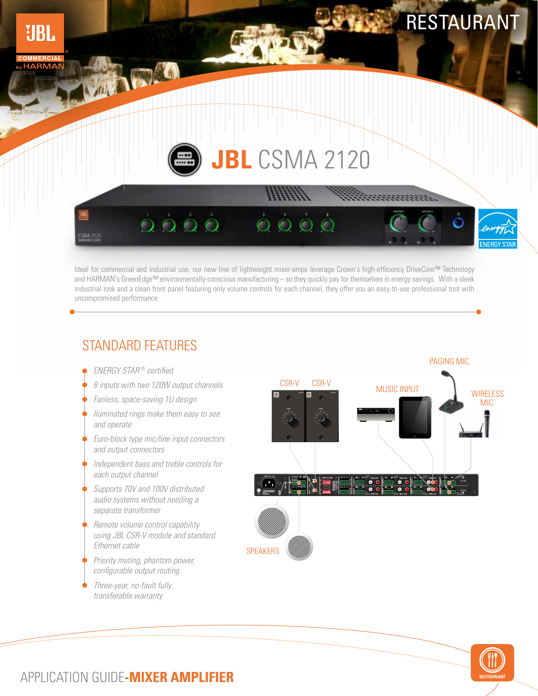# RESTAURANT

# **JBL** CSMA 2120

 $0000$ 

Ideal for commercial and industrial use, our new line of lightweight mixer-amps leverage Crown's high-efficiency DriveCore™ Technology and HARMAN's GreenEdge™ environmentally-conscious manufacturing – so they quickly pay for themselves in energy savings. With a sleek industrial look and a clean front panel featuring only volume controls for each channel, they offer you an easy-to-use professional tool with uncompromised performance.

#### STANDARD FEATURES

ENERGY STAR ® certified

**WARD** 

CSMA 2120

**UBL** 

**HARMA** 

8 inputs with two 120W output channels

 $0000$ 

- Fanless, space-saving 1U design
- Iluminated rings make them easy to see and operate
- Euro-block type mic/line input connectors and output connectors
- Independent bass and treble controls for each output channel
- Supports 70V and 100V distributed audio systems without needing a separate transformer
- Remote volume control capability using JBL CSR-V module and standard Ethernet cable
- Priority muting, phantom power, configurable output routing
- Three-year, no-fault fully transferable warranty





### APPLICATION GUIDE**-MIXER AMPLIFIER**